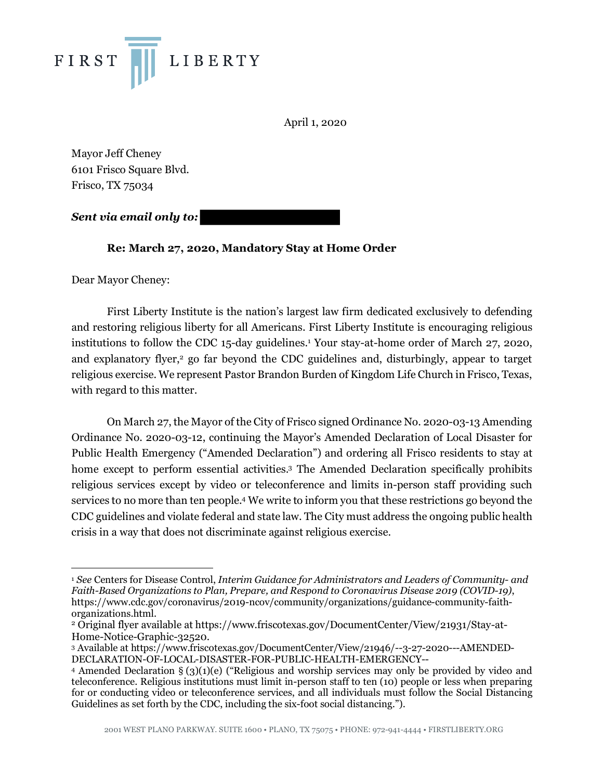

April 1, 2020

Mayor Jeff Cheney 6101 Frisco Square Blvd. Frisco, TX 75034

*Sent via email only to:* 

## **Re: March 27, 2020, Mandatory Stay at Home Order**

Dear Mayor Cheney:

First Liberty Institute is the nation's largest law firm dedicated exclusively to defending and restoring religious liberty for all Americans. First Liberty Institute is encouraging religious institutions to follow the CDC 15-day guidelines.1 Your stay-at-home order of March 27, 2020, and explanatory flyer,<sup>2</sup> go far beyond the CDC guidelines and, disturbingly, appear to target religious exercise. We represent Pastor Brandon Burden of Kingdom Life Church in Frisco, Texas, with regard to this matter.

On March 27, the Mayor of the City of Frisco signed Ordinance No. 2020-03-13 Amending Ordinance No. 2020-03-12, continuing the Mayor's Amended Declaration of Local Disaster for Public Health Emergency ("Amended Declaration") and ordering all Frisco residents to stay at home except to perform essential activities.3 The Amended Declaration specifically prohibits religious services except by video or teleconference and limits in-person staff providing such services to no more than ten people.4 We write to inform you that these restrictions go beyond the CDC guidelines and violate federal and state law. The City must address the ongoing public health crisis in a way that does not discriminate against religious exercise.

 <sup>1</sup> *See* Centers for Disease Control, *Interim Guidance for Administrators and Leaders of Community- and Faith-Based Organizations to Plan, Prepare, and Respond to Coronavirus Disease 2019 (COVID-19)*, https://www.cdc.gov/coronavirus/2019-ncov/community/organizations/guidance-community-faithorganizations.html. 2 Original flyer available at https://www.friscotexas.gov/DocumentCenter/View/21931/Stay-at-

Home-Notice-Graphic-32520.

<sup>3</sup> Available at https://www.friscotexas.gov/DocumentCenter/View/21946/--3-27-2020---AMENDED-DECLARATION-OF-LOCAL-DISASTER-FOR-PUBLIC-HEALTH-EMERGENCY--

<sup>4</sup> Amended Declaration § (3)(1)(e) ("Religious and worship services may only be provided by video and teleconference. Religious institutions must limit in-person staff to ten (10) people or less when preparing for or conducting video or teleconference services, and all individuals must follow the Social Distancing Guidelines as set forth by the CDC, including the six-foot social distancing.").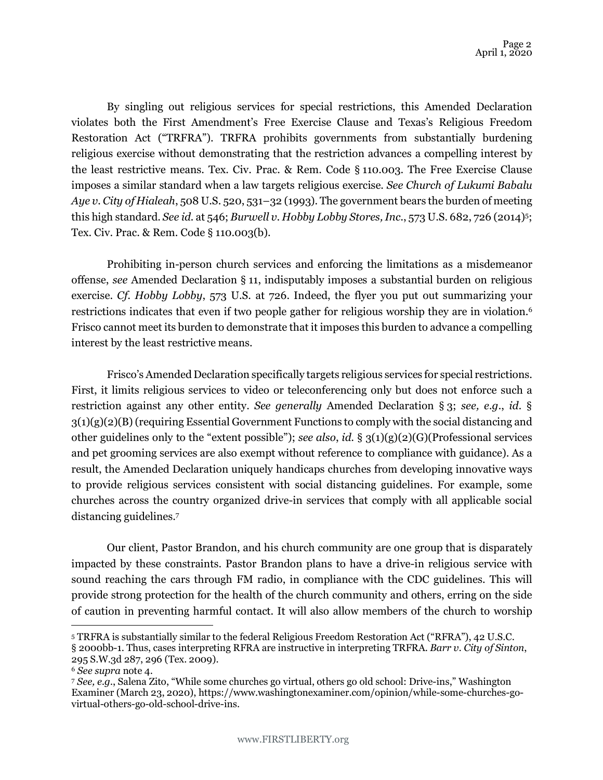By singling out religious services for special restrictions, this Amended Declaration violates both the First Amendment's Free Exercise Clause and Texas's Religious Freedom Restoration Act ("TRFRA"). TRFRA prohibits governments from substantially burdening religious exercise without demonstrating that the restriction advances a compelling interest by the least restrictive means. Tex. Civ. Prac. & Rem. Code § 110.003. The Free Exercise Clause imposes a similar standard when a law targets religious exercise. *See Church of Lukumi Babalu Aye v. City of Hialeah*, 508 U.S. 520, 531–32 (1993). The government bears the burden of meeting this high standard. *See id.* at 546; *Burwell v. Hobby Lobby Stores, Inc.*, 573 U.S. 682, 726 (2014)5; Tex. Civ. Prac. & Rem. Code § 110.003(b).

Prohibiting in-person church services and enforcing the limitations as a misdemeanor offense, *see* Amended Declaration § 11, indisputably imposes a substantial burden on religious exercise. *Cf. Hobby Lobby*, 573 U.S. at 726. Indeed, the flyer you put out summarizing your restrictions indicates that even if two people gather for religious worship they are in violation.<sup>6</sup> Frisco cannot meet its burden to demonstrate that it imposes this burden to advance a compelling interest by the least restrictive means.

Frisco's Amended Declaration specifically targets religious services for special restrictions. First, it limits religious services to video or teleconferencing only but does not enforce such a restriction against any other entity. *See generally* Amended Declaration § 3; *see, e.g.*, *id.* § 3(1)(g)(2)(B) (requiring Essential Government Functions to comply with the social distancing and other guidelines only to the "extent possible"); *see also*, *id.* § 3(1)(g)(2)(G)(Professional services and pet grooming services are also exempt without reference to compliance with guidance). As a result, the Amended Declaration uniquely handicaps churches from developing innovative ways to provide religious services consistent with social distancing guidelines. For example, some churches across the country organized drive-in services that comply with all applicable social distancing guidelines.7

Our client, Pastor Brandon, and his church community are one group that is disparately impacted by these constraints. Pastor Brandon plans to have a drive-in religious service with sound reaching the cars through FM radio, in compliance with the CDC guidelines. This will provide strong protection for the health of the church community and others, erring on the side of caution in preventing harmful contact. It will also allow members of the church to worship

 <sup>5</sup> TRFRA is substantially similar to the federal Religious Freedom Restoration Act ("RFRA"), 42 U.S.C. § 2000bb-1. Thus, cases interpreting RFRA are instructive in interpreting TRFRA. *Barr v. City of Sinton*,

<sup>295</sup> S.W.3d 287, 296 (Tex. 2009).

<sup>6</sup> *See supra* note 4.

<sup>7</sup> *See, e.g.*, Salena Zito, "While some churches go virtual, others go old school: Drive-ins," Washington Examiner (March 23, 2020), https://www.washingtonexaminer.com/opinion/while-some-churches-govirtual-others-go-old-school-drive-ins.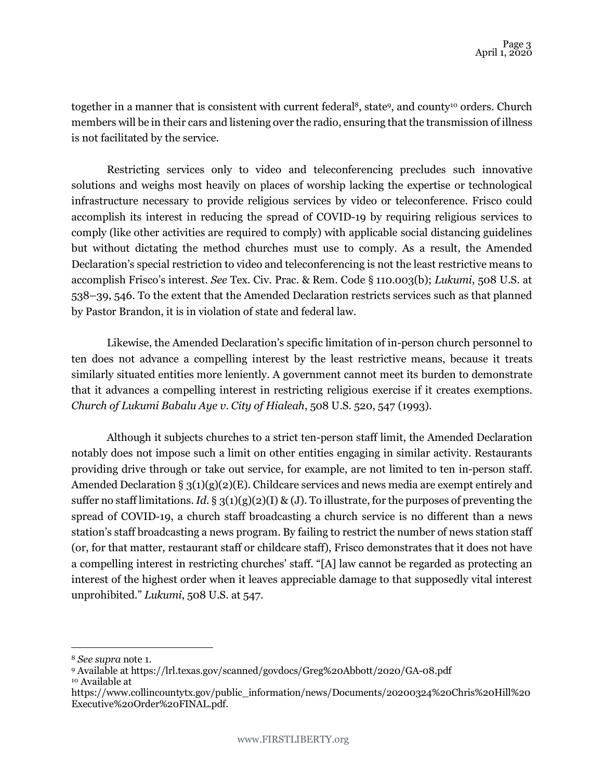together in a manner that is consistent with current federal<sup>8</sup>, state<sup>9</sup>, and county<sup>10</sup> orders. Church members will be in their cars and listening over the radio, ensuring that the transmission of illness is not facilitated by the service.

Restricting services only to video and teleconferencing precludes such innovative solutions and weighs most heavily on places of worship lacking the expertise or technological infrastructure necessary to provide religious services by video or teleconference. Frisco could accomplish its interest in reducing the spread of COVID-19 by requiring religious services to comply (like other activities are required to comply) with applicable social distancing guidelines but without dictating the method churches must use to comply. As a result, the Amended Declaration's special restriction to video and teleconferencing is not the least restrictive means to accomplish Frisco's interest. *See* Tex. Civ. Prac. & Rem. Code § 110.003(b); *Lukumi*, 508 U.S. at 538–39, 546. To the extent that the Amended Declaration restricts services such as that planned by Pastor Brandon, it is in violation of state and federal law.

Likewise, the Amended Declaration's specific limitation of in-person church personnel to ten does not advance a compelling interest by the least restrictive means, because it treats similarly situated entities more leniently. A government cannot meet its burden to demonstrate that it advances a compelling interest in restricting religious exercise if it creates exemptions. *Church of Lukumi Babalu Aye v. City of Hialeah*, 508 U.S. 520, 547 (1993).

Although it subjects churches to a strict ten-person staff limit, the Amended Declaration notably does not impose such a limit on other entities engaging in similar activity. Restaurants providing drive through or take out service, for example, are not limited to ten in-person staff. Amended Declaration § 3(1)(g)(2)(E). Childcare services and news media are exempt entirely and suffer no staff limitations. *Id.* §  $3(1)(g)(2)(I)$  & (J). To illustrate, for the purposes of preventing the spread of COVID-19, a church staff broadcasting a church service is no different than a news station's staff broadcasting a news program. By failing to restrict the number of news station staff (or, for that matter, restaurant staff or childcare staff), Frisco demonstrates that it does not have a compelling interest in restricting churches' staff. "[A] law cannot be regarded as protecting an interest of the highest order when it leaves appreciable damage to that supposedly vital interest unprohibited." *Lukumi*, 508 U.S. at 547.

 <sup>8</sup> *See supra* note 1.

<sup>9</sup> Available at https://lrl.texas.gov/scanned/govdocs/Greg%20Abbott/2020/GA-08.pdf <sup>10</sup> Available at

https://www.collincountytx.gov/public\_information/news/Documents/20200324%20Chris%20Hill%20 Executive%20Order%20FINAL.pdf.